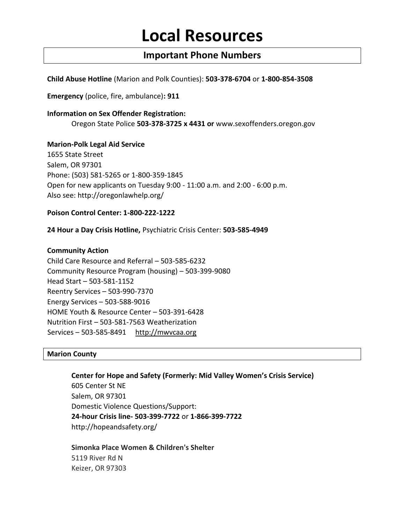# **Local Resources**

# **Important Phone Numbers**

**Child Abuse Hotline** (Marion and Polk Counties): **503-378-6704** or **1-800-854-3508** 

**Emergency** (police, fire, ambulance)**: 911** 

**Information on Sex Offender Registration:**  Oregon State Police **503-378-3725 x 4431 or** [www.sexoffenders.oregon.gov](http://www.sexoffenders.oregon.gov/)

## **Marion-Polk Legal Aid Service**

1655 State Street Salem, OR 97301 Phone: (503) 581-5265 or 1-800-359-1845 Open for new applicants on Tuesday 9:00 - 11:00 a.m. and 2:00 - 6:00 p.m. Also see:<http://oregonlawhelp.org/>

## **Poison Control Center: 1-800-222-1222**

**24 Hour a Day Crisis Hotline,** Psychiatric Crisis Center: **503-585-4949** 

## **Community Action**

Child Care Resource and Referral – 503-585-6232 Community Resource Program (housing) – 503-399-9080 Head Start – 503-581-1152 Reentry Services – 503-990-7370 Energy Services – 503-588-9016 HOME Youth & Resource Center – 503-391-6428 Nutrition First – 503-581-7563 Weatherization Services – 503-585-8491 http://mwvcaa.org

#### **Marion County**

**Center for Hope and Safety (Formerly: Mid Valley Women's Crisis Service)**  605 Center St NE Salem, OR 97301 Domestic Violence Questions/Support: **24-hour Crisis line- 503-399-7722** or **1-866-399-7722** http://hopeandsafety.org[/](http://www.mvwcs.com/)

**Simonka Place Women & Children's Shelter**  5119 River Rd N Keizer, OR 97303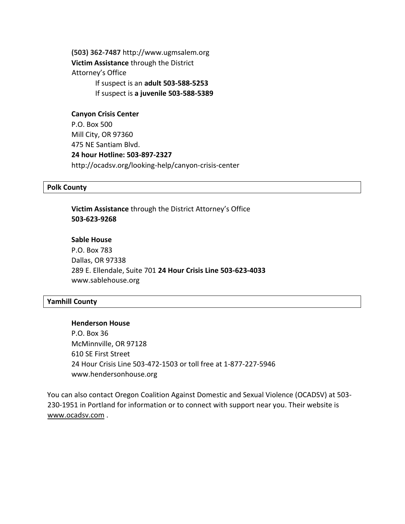**(503) 362-7487** [http://www.ugmsalem.org](http://clicks.superpages.com/ct/clickThrough?SRC=sebpall&target=SP&PN=1&FP=profile&C=simonka%2520house&PGID=yp601.8081.1395597818813.134613313618&ALG=113&TS=nbt&OF=1&ACTION=log,red&LID=0131969223&TR=50&bidType=FLCLIK&PGSN=B5&FL=profile&TL=off&LOC=http://www.ugmsalem.org) **Victim Assistance** through the District Attorney's Office If suspect is an **adult 503-588-5253**  If suspect is **a juvenile 503-588-5389** 

**Canyon Crisis Center**  P.O. Box 500 Mill City, OR 97360 475 NE Santiam Blvd. **24 hour Hotline: 503-897-2327**  http://ocadsv.org/looking-help/canyon-crisis-center

#### **Polk County**

**Victim Assistance** through the District Attorney's Office **503-623-9268** 

# **Sable House**

P.O. Box 783 Dallas, OR 97338 289 E. Ellendale, Suite 701 **24 Hour Crisis Line 503-623-4033** [www.sablehouse.org](http://www.sablehouse.org/)

#### **Yamhill County**

#### **Henderson House**

P.O. Box 36 McMinnville, OR 97128 610 SE First Street 24 Hour Crisis Line 503-472-1503 or toll free at 1-877-227-5946 [www.hendersonhouse.org](http://www.hendersonhouse.org/)

You can also contact Oregon Coalition Against Domestic and Sexual Violence (OCADSV) at 503- 230-1951 in Portland for information or to connect with support near you. Their website is [www.ocadsv.com](http://www.ocadsv.com/) [.](http://www.ocadsv.com/)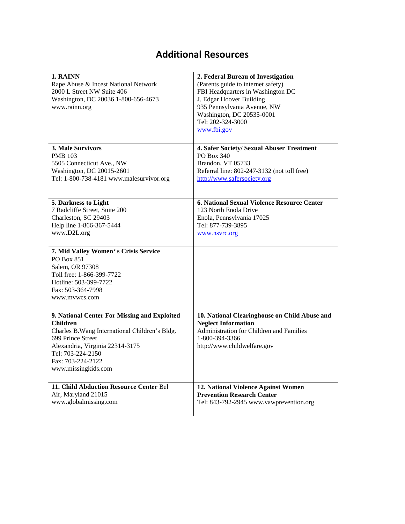# **Additional Resources**

| 1. RAINN<br>Rape Abuse & Incest National Network<br>2000 L Street NW Suite 406<br>Washington, DC 20036 1-800-656-4673<br>www.rainn.org                                                                                                     | 2. Federal Bureau of Investigation<br>(Parents guide to internet safety)<br>FBI Headquarters in Washington DC<br>J. Edgar Hoover Building<br>935 Pennsylvania Avenue, NW<br>Washington, DC 20535-0001<br>Tel: 202-324-3000 |
|--------------------------------------------------------------------------------------------------------------------------------------------------------------------------------------------------------------------------------------------|----------------------------------------------------------------------------------------------------------------------------------------------------------------------------------------------------------------------------|
|                                                                                                                                                                                                                                            | www.fbi.gov                                                                                                                                                                                                                |
| 3. Male Survivors<br><b>PMB</b> 103<br>5505 Connecticut Ave., NW<br>Washington, DC 20015-2601<br>Tel: 1-800-738-4181 www.malesurvivor.org                                                                                                  | 4. Safer Society/ Sexual Abuser Treatment<br>PO Box 340<br>Brandon, VT 05733<br>Referral line: 802-247-3132 (not toll free)<br>http://www.safersociety.org                                                                 |
| 5. Darkness to Light<br>7 Radcliffe Street, Suite 200<br>Charleston, SC 29403<br>Help line 1-866-367-5444<br>www.D2L.org                                                                                                                   | 6. National Sexual Violence Resource Center<br>123 North Enola Drive<br>Enola, Pennsylvania 17025<br>Tel: 877-739-3895<br>www.nsvrc.org                                                                                    |
| 7. Mid Valley Women's Crisis Service<br><b>PO Box 851</b><br>Salem, OR 97308<br>Toll free: 1-866-399-7722<br>Hotline: 503-399-7722<br>Fax: 503-364-7998<br>www.mvwcs.com                                                                   |                                                                                                                                                                                                                            |
| 9. National Center For Missing and Exploited<br><b>Children</b><br>Charles B. Wang International Children's Bldg.<br>699 Prince Street<br>Alexandria, Virginia 22314-3175<br>Tel: 703-224-2150<br>Fax: 703-224-2122<br>www.missingkids.com | 10. National Clearinghouse on Child Abuse and<br><b>Neglect Information</b><br>Administration for Children and Families<br>1-800-394-3366<br>http://www.childwelfare.gov                                                   |
| 11. Child Abduction Resource Center Bel<br>Air, Maryland 21015<br>www.globalmissing.com                                                                                                                                                    | 12. National Violence Against Women<br><b>Prevention Research Center</b><br>Tel: 843-792-2945 www.vawprevention.org                                                                                                        |